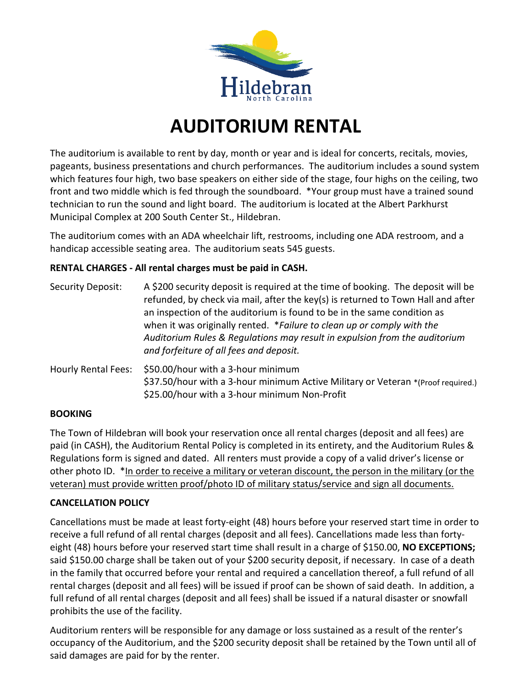

## **AUDITORIUM RENTAL**

The auditorium is available to rent by day, month or year and is ideal for concerts, recitals, movies, pageants, business presentations and church performances. The auditorium includes a sound system which features four high, two base speakers on either side of the stage, four highs on the ceiling, two front and two middle which is fed through the soundboard. \*Your group must have a trained sound technician to run the sound and light board. The auditorium is located at the Albert Parkhurst Municipal Complex at 200 South Center St., Hildebran.

The auditorium comes with an ADA wheelchair lift, restrooms, including one ADA restroom, and a handicap accessible seating area. The auditorium seats 545 guests.

### **RENTAL CHARGES - All rental charges must be paid in CASH.**

| Security Deposit:          | A \$200 security deposit is required at the time of booking. The deposit will be<br>refunded, by check via mail, after the key(s) is returned to Town Hall and after<br>an inspection of the auditorium is found to be in the same condition as<br>when it was originally rented. *Failure to clean up or comply with the<br>Auditorium Rules & Regulations may result in expulsion from the auditorium<br>and forfeiture of all fees and deposit. |
|----------------------------|----------------------------------------------------------------------------------------------------------------------------------------------------------------------------------------------------------------------------------------------------------------------------------------------------------------------------------------------------------------------------------------------------------------------------------------------------|
| <b>Hourly Rental Fees:</b> | \$50.00/hour with a 3-hour minimum<br>\$37.50/hour with a 3-hour minimum Active Military or Veteran *(Proof required.)<br>\$25.00/hour with a 3-hour minimum Non-Profit                                                                                                                                                                                                                                                                            |

#### **BOOKING**

The Town of Hildebran will book your reservation once all rental charges (deposit and all fees) are paid (in CASH), the Auditorium Rental Policy is completed in its entirety, and the Auditorium Rules & Regulations form is signed and dated. All renters must provide a copy of a valid driver's license or other photo ID. \*In order to receive a military or veteran discount, the person in the military (or the veteran) must provide written proof/photo ID of military status/service and sign all documents.

#### **CANCELLATION POLICY**

Cancellations must be made at least forty-eight (48) hours before your reserved start time in order to receive a full refund of all rental charges (deposit and all fees). Cancellations made less than fortyeight (48) hours before your reserved start time shall result in a charge of \$150.00, **NO EXCEPTIONS;**  said \$150.00 charge shall be taken out of your \$200 security deposit, if necessary. In case of a death in the family that occurred before your rental and required a cancellation thereof, a full refund of all rental charges (deposit and all fees) will be issued if proof can be shown of said death. In addition, a full refund of all rental charges (deposit and all fees) shall be issued if a natural disaster or snowfall prohibits the use of the facility.

Auditorium renters will be responsible for any damage or loss sustained as a result of the renter's occupancy of the Auditorium, and the \$200 security deposit shall be retained by the Town until all of said damages are paid for by the renter.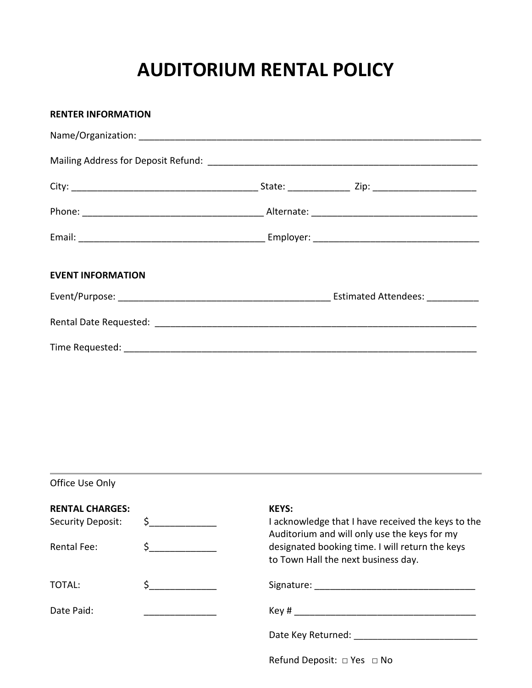## **AUDITORIUM RENTAL POLICY**

| <b>RENTER INFORMATION</b> |  |
|---------------------------|--|
|                           |  |
|                           |  |
|                           |  |
|                           |  |
|                           |  |
| <b>EVENT INFORMATION</b>  |  |
|                           |  |
|                           |  |
|                           |  |

Office Use Only

| <b>RENTAL CHARGES:</b><br>Security Deposit: |  | <b>KEYS:</b><br>I acknowledge that I have received the keys to the<br>Auditorium and will only use the keys for my<br>designated booking time. I will return the keys<br>to Town Hall the next business day.                     |  |
|---------------------------------------------|--|----------------------------------------------------------------------------------------------------------------------------------------------------------------------------------------------------------------------------------|--|
| Rental Fee:                                 |  |                                                                                                                                                                                                                                  |  |
| TOTAL:                                      |  |                                                                                                                                                                                                                                  |  |
| Date Paid:                                  |  | $Key #$ and the set of the set of the set of the set of the set of the set of the set of the set of the set of the set of the set of the set of the set of the set of the set of the set of the set of the set of the set of the |  |
|                                             |  | Date Key Returned: National Action of the Material Action of the Material Action of the Material Action of the                                                                                                                   |  |
|                                             |  | Refund Deposit: $\Box$ Yes $\Box$ No                                                                                                                                                                                             |  |